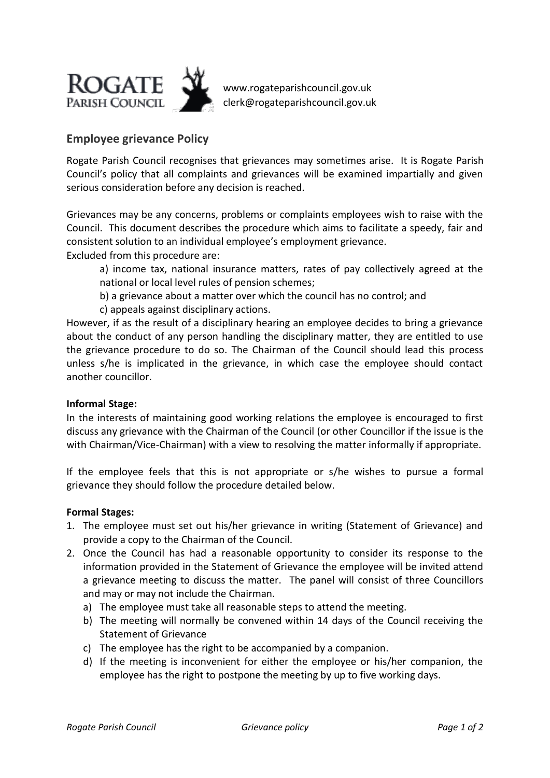

www.rogateparishcouncil.gov.uk clerk@rogateparishcouncil.gov.uk

## **Employee grievance Policy**

Rogate Parish Council recognises that grievances may sometimes arise. It is Rogate Parish Council's policy that all complaints and grievances will be examined impartially and given serious consideration before any decision is reached.

Grievances may be any concerns, problems or complaints employees wish to raise with the Council. This document describes the procedure which aims to facilitate a speedy, fair and consistent solution to an individual employee's employment grievance.

Excluded from this procedure are:

- a) income tax, national insurance matters, rates of pay collectively agreed at the national or local level rules of pension schemes;
- b) a grievance about a matter over which the council has no control; and
- c) appeals against disciplinary actions.

However, if as the result of a disciplinary hearing an employee decides to bring a grievance about the conduct of any person handling the disciplinary matter, they are entitled to use the grievance procedure to do so. The Chairman of the Council should lead this process unless s/he is implicated in the grievance, in which case the employee should contact another councillor.

## **Informal Stage:**

In the interests of maintaining good working relations the employee is encouraged to first discuss any grievance with the Chairman of the Council (or other Councillor if the issue is the with Chairman/Vice-Chairman) with a view to resolving the matter informally if appropriate.

If the employee feels that this is not appropriate or s/he wishes to pursue a formal grievance they should follow the procedure detailed below.

## **Formal Stages:**

- 1. The employee must set out his/her grievance in writing (Statement of Grievance) and provide a copy to the Chairman of the Council.
- 2. Once the Council has had a reasonable opportunity to consider its response to the information provided in the Statement of Grievance the employee will be invited attend a grievance meeting to discuss the matter. The panel will consist of three Councillors and may or may not include the Chairman.
	- a) The employee must take all reasonable steps to attend the meeting.
	- b) The meeting will normally be convened within 14 days of the Council receiving the Statement of Grievance
	- c) The employee has the right to be accompanied by a companion.
	- d) If the meeting is inconvenient for either the employee or his/her companion, the employee has the right to postpone the meeting by up to five working days.